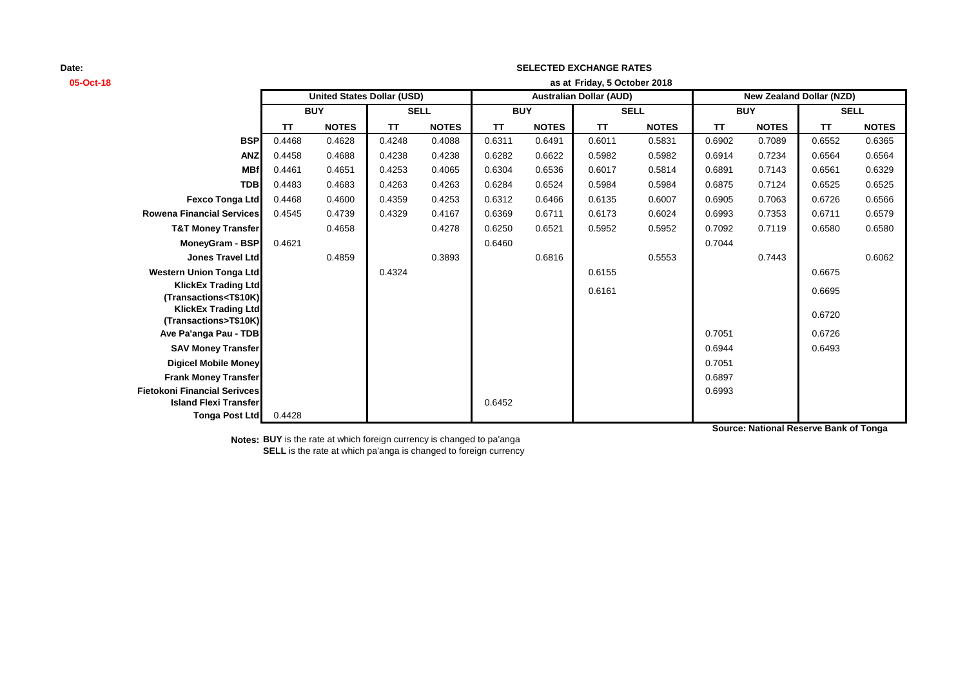| 05-Oct-18                                                                                                                                             | as at Friday, 5 October 2018      |              |             |              |                                |              |             |              |                                 |              |             |              |
|-------------------------------------------------------------------------------------------------------------------------------------------------------|-----------------------------------|--------------|-------------|--------------|--------------------------------|--------------|-------------|--------------|---------------------------------|--------------|-------------|--------------|
|                                                                                                                                                       | <b>United States Dollar (USD)</b> |              |             |              | <b>Australian Dollar (AUD)</b> |              |             |              | <b>New Zealand Dollar (NZD)</b> |              |             |              |
|                                                                                                                                                       | <b>BUY</b>                        |              | <b>SELL</b> |              | <b>BUY</b>                     |              | <b>SELL</b> |              | <b>BUY</b>                      |              | <b>SELL</b> |              |
|                                                                                                                                                       | TT                                | <b>NOTES</b> | <b>TT</b>   | <b>NOTES</b> | <b>TT</b>                      | <b>NOTES</b> | <b>TT</b>   | <b>NOTES</b> | <b>TT</b>                       | <b>NOTES</b> | <b>TT</b>   | <b>NOTES</b> |
| <b>BSP</b>                                                                                                                                            | 0.4468                            | 0.4628       | 0.4248      | 0.4088       | 0.6311                         | 0.6491       | 0.6011      | 0.5831       | 0.6902                          | 0.7089       | 0.6552      | 0.6365       |
| <b>ANZ</b>                                                                                                                                            | 0.4458                            | 0.4688       | 0.4238      | 0.4238       | 0.6282                         | 0.6622       | 0.5982      | 0.5982       | 0.6914                          | 0.7234       | 0.6564      | 0.6564       |
| <b>MBf</b>                                                                                                                                            | 0.4461                            | 0.4651       | 0.4253      | 0.4065       | 0.6304                         | 0.6536       | 0.6017      | 0.5814       | 0.6891                          | 0.7143       | 0.6561      | 0.6329       |
| <b>TDB</b>                                                                                                                                            | 0.4483                            | 0.4683       | 0.4263      | 0.4263       | 0.6284                         | 0.6524       | 0.5984      | 0.5984       | 0.6875                          | 0.7124       | 0.6525      | 0.6525       |
| <b>Fexco Tonga Ltd</b>                                                                                                                                | 0.4468                            | 0.4600       | 0.4359      | 0.4253       | 0.6312                         | 0.6466       | 0.6135      | 0.6007       | 0.6905                          | 0.7063       | 0.6726      | 0.6566       |
| <b>Rowena Financial Services</b>                                                                                                                      | 0.4545                            | 0.4739       | 0.4329      | 0.4167       | 0.6369                         | 0.6711       | 0.6173      | 0.6024       | 0.6993                          | 0.7353       | 0.6711      | 0.6579       |
| <b>T&amp;T Money Transfer</b>                                                                                                                         |                                   | 0.4658       |             | 0.4278       | 0.6250                         | 0.6521       | 0.5952      | 0.5952       | 0.7092                          | 0.7119       | 0.6580      | 0.6580       |
| MoneyGram - BSP                                                                                                                                       | 0.4621                            |              |             |              | 0.6460                         |              |             |              | 0.7044                          |              |             |              |
| Jones Travel Ltd                                                                                                                                      |                                   | 0.4859       |             | 0.3893       |                                | 0.6816       |             | 0.5553       |                                 | 0.7443       |             | 0.6062       |
| <b>Western Union Tonga Ltd</b>                                                                                                                        |                                   |              | 0.4324      |              |                                |              | 0.6155      |              |                                 |              | 0.6675      |              |
| <b>KlickEx Trading Ltd</b>                                                                                                                            |                                   |              |             |              |                                |              | 0.6161      |              |                                 |              | 0.6695      |              |
| (Transactions <t\$10k)< th=""><th></th><th></th><th></th><th></th><th></th><th></th><th></th><th></th><th></th><th></th><th></th><th></th></t\$10k)<> |                                   |              |             |              |                                |              |             |              |                                 |              |             |              |
| <b>KlickEx Trading Ltd</b><br>(Transactions>T\$10K)                                                                                                   |                                   |              |             |              |                                |              |             |              |                                 |              | 0.6720      |              |
| Ave Pa'anga Pau - TDB                                                                                                                                 |                                   |              |             |              |                                |              |             |              | 0.7051                          |              | 0.6726      |              |
| <b>SAV Money Transfer</b>                                                                                                                             |                                   |              |             |              |                                |              |             |              | 0.6944                          |              | 0.6493      |              |
| <b>Digicel Mobile Money</b>                                                                                                                           |                                   |              |             |              |                                |              |             |              | 0.7051                          |              |             |              |
| <b>Frank Money Transfer</b>                                                                                                                           |                                   |              |             |              |                                |              |             |              | 0.6897                          |              |             |              |
| <b>Fietokoni Financial Serivces</b>                                                                                                                   |                                   |              |             |              |                                |              |             |              | 0.6993                          |              |             |              |
| <b>Island Flexi Transfer</b>                                                                                                                          |                                   |              |             |              | 0.6452                         |              |             |              |                                 |              |             |              |
| <b>Tonga Post Ltd</b>                                                                                                                                 | 0.4428                            |              |             |              |                                |              |             |              |                                 |              |             |              |

**SELECTED EXCHANGE RATES**

**Notes: BUY** is the rate at which foreign currency is changed to pa'anga **SELL** is the rate at which pa'anga is changed to foreign currency **Source: National Reserve Bank of Tonga**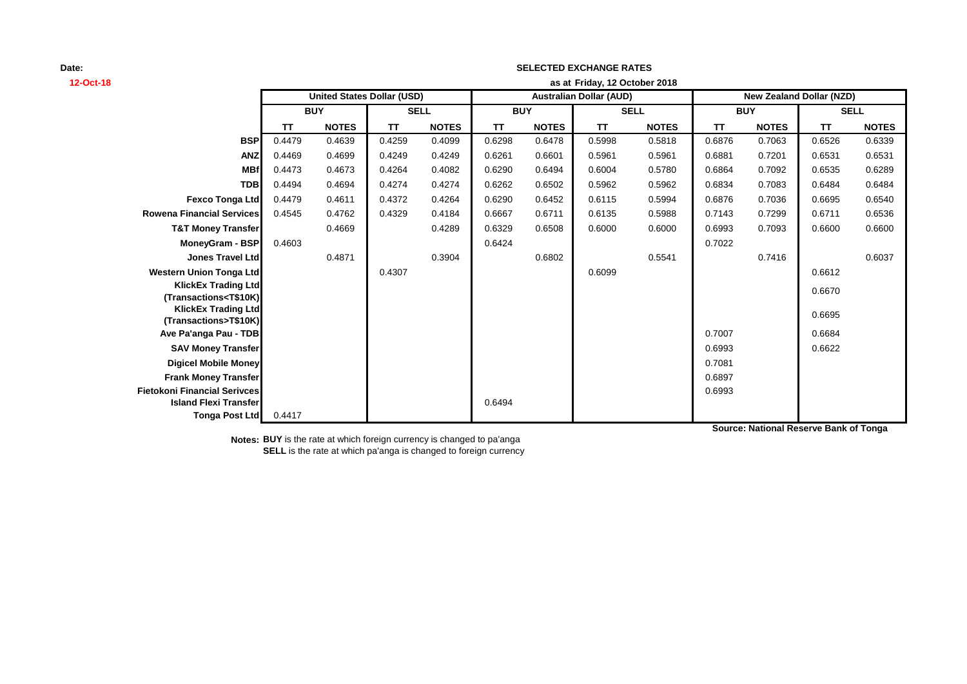| 12-Oct-18                                                         | as at Friday, 12 October 2018 |                                   |             |              |            |                                |             |              |            |                                 |             |              |  |
|-------------------------------------------------------------------|-------------------------------|-----------------------------------|-------------|--------------|------------|--------------------------------|-------------|--------------|------------|---------------------------------|-------------|--------------|--|
|                                                                   |                               | <b>United States Dollar (USD)</b> |             |              |            | <b>Australian Dollar (AUD)</b> |             |              |            | <b>New Zealand Dollar (NZD)</b> |             |              |  |
|                                                                   | <b>BUY</b>                    |                                   | <b>SELL</b> |              | <b>BUY</b> |                                | <b>SELL</b> |              | <b>BUY</b> |                                 | <b>SELL</b> |              |  |
|                                                                   | TΤ                            | <b>NOTES</b>                      | TT          | <b>NOTES</b> | TΤ         | <b>NOTES</b>                   | <b>TT</b>   | <b>NOTES</b> | <b>TT</b>  | <b>NOTES</b>                    | <b>TT</b>   | <b>NOTES</b> |  |
| <b>BSP</b>                                                        | 0.4479                        | 0.4639                            | 0.4259      | 0.4099       | 0.6298     | 0.6478                         | 0.5998      | 0.5818       | 0.6876     | 0.7063                          | 0.6526      | 0.6339       |  |
| <b>ANZ</b>                                                        | 0.4469                        | 0.4699                            | 0.4249      | 0.4249       | 0.6261     | 0.6601                         | 0.5961      | 0.5961       | 0.6881     | 0.7201                          | 0.6531      | 0.6531       |  |
| <b>MBf</b>                                                        | 0.4473                        | 0.4673                            | 0.4264      | 0.4082       | 0.6290     | 0.6494                         | 0.6004      | 0.5780       | 0.6864     | 0.7092                          | 0.6535      | 0.6289       |  |
| <b>TDB</b>                                                        | 0.4494                        | 0.4694                            | 0.4274      | 0.4274       | 0.6262     | 0.6502                         | 0.5962      | 0.5962       | 0.6834     | 0.7083                          | 0.6484      | 0.6484       |  |
| <b>Fexco Tonga Ltd</b>                                            | 0.4479                        | 0.4611                            | 0.4372      | 0.4264       | 0.6290     | 0.6452                         | 0.6115      | 0.5994       | 0.6876     | 0.7036                          | 0.6695      | 0.6540       |  |
| <b>Rowena Financial Services</b>                                  | 0.4545                        | 0.4762                            | 0.4329      | 0.4184       | 0.6667     | 0.6711                         | 0.6135      | 0.5988       | 0.7143     | 0.7299                          | 0.6711      | 0.6536       |  |
| <b>T&amp;T Money Transfer</b>                                     |                               | 0.4669                            |             | 0.4289       | 0.6329     | 0.6508                         | 0.6000      | 0.6000       | 0.6993     | 0.7093                          | 0.6600      | 0.6600       |  |
| <b>MoneyGram - BSP</b>                                            | 0.4603                        |                                   |             |              | 0.6424     |                                |             |              | 0.7022     |                                 |             |              |  |
| <b>Jones Travel Ltd</b>                                           |                               | 0.4871                            |             | 0.3904       |            | 0.6802                         |             | 0.5541       |            | 0.7416                          |             | 0.6037       |  |
| <b>Western Union Tonga Ltd</b>                                    |                               |                                   | 0.4307      |              |            |                                | 0.6099      |              |            |                                 | 0.6612      |              |  |
| <b>KlickEx Trading Ltd</b>                                        |                               |                                   |             |              |            |                                |             |              |            |                                 | 0.6670      |              |  |
| (Transactions <t\$10k)<br><b>KlickEx Trading Ltd</b></t\$10k)<br> |                               |                                   |             |              |            |                                |             |              |            |                                 |             |              |  |
| (Transactions>T\$10K)                                             |                               |                                   |             |              |            |                                |             |              |            |                                 | 0.6695      |              |  |
| Ave Pa'anga Pau - TDB                                             |                               |                                   |             |              |            |                                |             |              | 0.7007     |                                 | 0.6684      |              |  |
| <b>SAV Money Transfer</b>                                         |                               |                                   |             |              |            |                                |             |              | 0.6993     |                                 | 0.6622      |              |  |
| <b>Digicel Mobile Money</b>                                       |                               |                                   |             |              |            |                                |             |              | 0.7081     |                                 |             |              |  |
| <b>Frank Money Transfer</b>                                       |                               |                                   |             |              |            |                                |             |              | 0.6897     |                                 |             |              |  |
| <b>Fietokoni Financial Serivces</b>                               |                               |                                   |             |              |            |                                |             |              | 0.6993     |                                 |             |              |  |
| <b>Island Flexi Transfer</b>                                      |                               |                                   |             |              | 0.6494     |                                |             |              |            |                                 |             |              |  |
| <b>Tonga Post Ltd</b>                                             | 0.4417                        |                                   |             |              |            |                                |             |              |            |                                 |             |              |  |

**SELECTED EXCHANGE RATES**

**Notes: BUY** is the rate at which foreign currency is changed to pa'anga **SELL** is the rate at which pa'anga is changed to foreign currency **Source: National Reserve Bank of Tonga**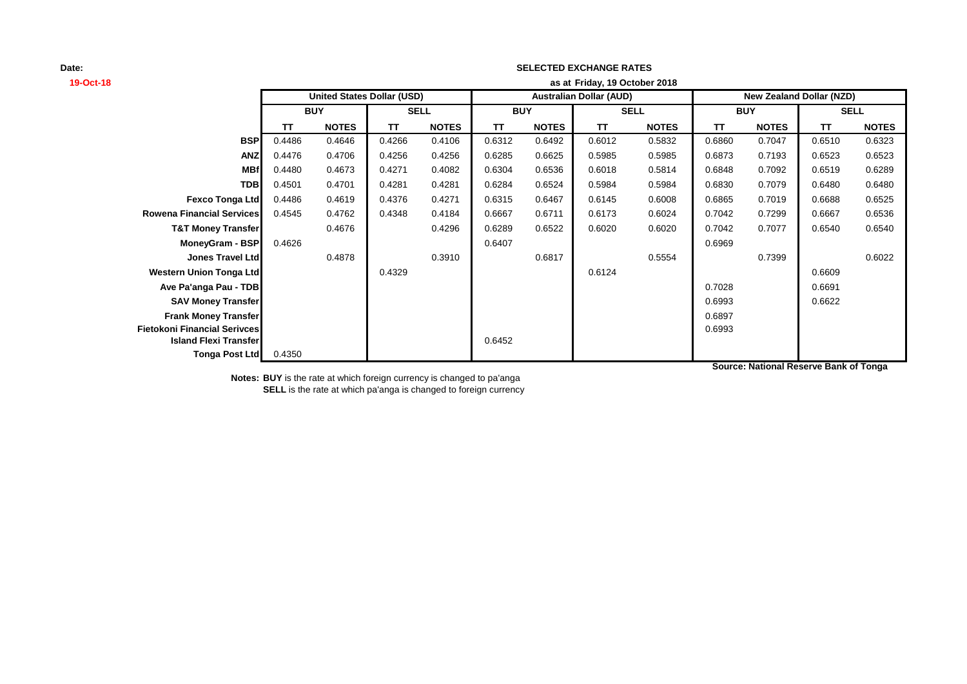# **19-Oct-18 as at TT NOTES TT NOTES TT NOTES TT NOTES TT NOTES TT NOTES BSP** 0.4486 0.4646 0.4266 0.4106 0.6312 0.6492 0.6012 0.5832 0.6860 0.7047 0.6510 0.6323 **ANZ** 0.4476 0.4706 0.4256 0.4256 0.6285 0.6625 0.5985 0.5985 0.6873 0.7193 0.6523 0.6523 **MBf** 0.4480 0.4673 0.4271 0.4082 0.6304 0.6536 0.6018 0.5814 0.6848 0.7092 0.6519 0.6289 **TDB** 0.4501 0.4701 0.4281 0.4281 0.6284 0.6524 0.5984 0.5984 0.6830 0.7079 0.6480 0.6480 **Fexco Tonga Ltd** 0.4486 0.4619 0.4376 0.4271 0.6315 0.6467 0.6145 0.6008 0.6865 0.7019 0.6688 0.6525 **Rowena Financial Services** 0.4545 0.4762 0.4348 0.4184 0.6667 0.6711 0.6173 0.6024 0.7042 0.7299 0.6667 0.6536 **T&T Money Transfer** 0.4676 0.4296 0.6289 0.6522 0.6020 0.6020 0.7042 0.7077 0.6540 0.6540 **MoneyGram - BSP** 0.4626 0.6969 0.6969 0.6407 0.6969 0.6969 0.6969 0.6969 0.6969 0.6969 0.6969 0.6969 0.6969 0.6969 0.6969 0.6969 0.6969 0.6969 0.6969 0.6969 0.6969 0.6969 0.6969 0.6969 0.6969 0.6969 0.6969 0.6969 0.6969 0 **Jones Travel Ltd** 0.4878 0.3910 0.6817 0.5554 0.7399 0.6022 **Western Union Tonga Ltd** 0.4329 0.6124 0.6609 **Ave Pa'anga Pau - TDB** 0.6691 **SAV Money Transfer** 0.6993 0.6622 **Frank Money Transfer** 0.6897 **Fietokoni Financial Serivces** 0.6993 **Island Flexi Transfer** 0.6452 **Tonga Post Ltd** 0.4350 **SELL United States Dollar (USD) Australian Dollar (AUD) New Zealand Dollar (NZD) BUY SELL BUY SELL BUY Friday, 19 October 2018**

**SELECTED EXCHANGE RATES**

**Source: National Reserve Bank of Tonga**

**Notes: BUY** is the rate at which foreign currency is changed to pa'anga **SELL** is the rate at which pa'anga is changed to foreign currency